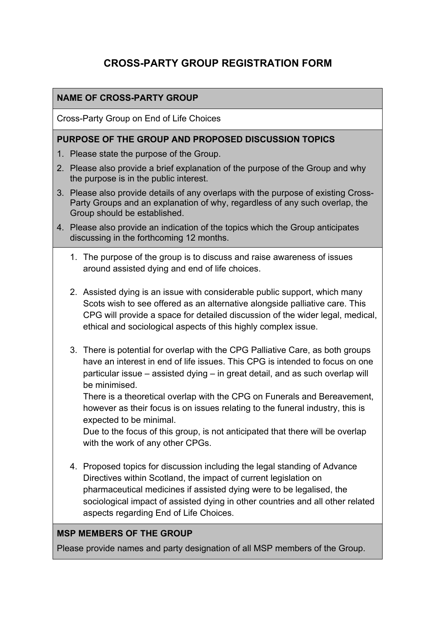# **CROSS-PARTY GROUP REGISTRATION FORM**

## **NAME OF CROSS-PARTY GROUP**

Cross-Party Group on End of Life Choices

#### **PURPOSE OF THE GROUP AND PROPOSED DISCUSSION TOPICS**

- 1. Please state the purpose of the Group.
- 2. Please also provide a brief explanation of the purpose of the Group and why the purpose is in the public interest.
- 3. Please also provide details of any overlaps with the purpose of existing Cross-Party Groups and an explanation of why, regardless of any such overlap, the Group should be established.
- 4. Please also provide an indication of the topics which the Group anticipates discussing in the forthcoming 12 months.
	- 1. The purpose of the group is to discuss and raise awareness of issues around assisted dying and end of life choices.
	- 2. Assisted dying is an issue with considerable public support, which many Scots wish to see offered as an alternative alongside palliative care. This CPG will provide a space for detailed discussion of the wider legal, medical, ethical and sociological aspects of this highly complex issue.
	- 3. There is potential for overlap with the CPG Palliative Care, as both groups have an interest in end of life issues. This CPG is intended to focus on one particular issue – assisted dying – in great detail, and as such overlap will be minimised.

There is a theoretical overlap with the CPG on Funerals and Bereavement, however as their focus is on issues relating to the funeral industry, this is expected to be minimal.

Due to the focus of this group, is not anticipated that there will be overlap with the work of any other CPGs.

4. Proposed topics for discussion including the legal standing of Advance Directives within Scotland, the impact of current legislation on pharmaceutical medicines if assisted dying were to be legalised, the sociological impact of assisted dying in other countries and all other related aspects regarding End of Life Choices.

#### **MSP MEMBERS OF THE GROUP**

Please provide names and party designation of all MSP members of the Group.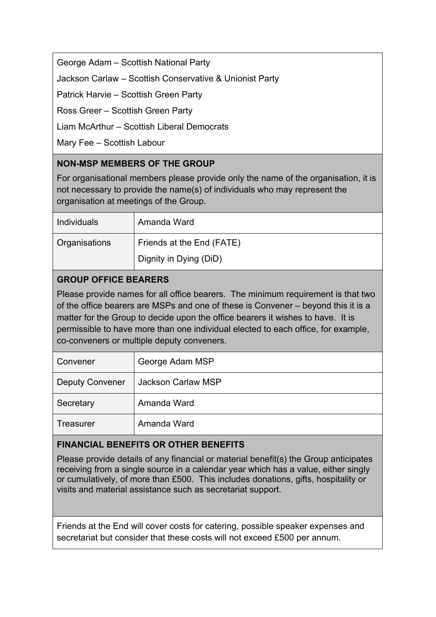George Adam – Scottish National Party

Jackson Carlaw – Scottish Conservative & Unionist Party

Patrick Harvie – Scottish Green Party

Ross Greer – Scottish Green Party

Liam McArthur – Scottish Liberal Democrats

Mary Fee – Scottish Labour

## **NON-MSP MEMBERS OF THE GROUP**

For organisational members please provide only the name of the organisation, it is not necessary to provide the name(s) of individuals who may represent the organisation at meetings of the Group.

| <b>Individuals</b> | Amanda Ward               |
|--------------------|---------------------------|
| Organisations      | Friends at the End (FATE) |
|                    | Dignity in Dying (DiD)    |

## **GROUP OFFICE BEARERS**

Please provide names for all office bearers. The minimum requirement is that two of the office bearers are MSPs and one of these is Convener – beyond this it is a matter for the Group to decide upon the office bearers it wishes to have. It is permissible to have more than one individual elected to each office, for example, co-conveners or multiple deputy conveners.

| Convener               | George Adam MSP    |
|------------------------|--------------------|
| <b>Deputy Convener</b> | Jackson Carlaw MSP |
| Secretary              | Amanda Ward        |
| Treasurer              | Amanda Ward        |

## **FINANCIAL BENEFITS OR OTHER BENEFITS**

Please provide details of any financial or material benefit(s) the Group anticipates receiving from a single source in a calendar year which has a value, either singly or cumulatively, of more than £500. This includes donations, gifts, hospitality or visits and material assistance such as secretariat support.

Friends at the End will cover costs for catering, possible speaker expenses and secretariat but consider that these costs will not exceed £500 per annum.